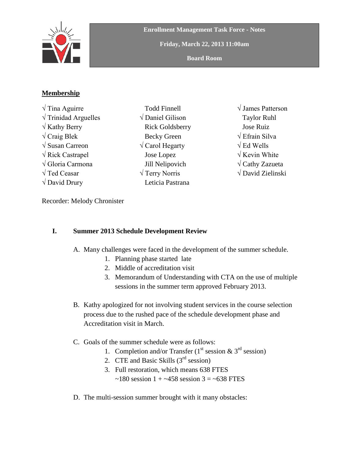

**Enrollment Management Task Force - Notes**

**Friday, March 22, 2013 11:00am**

**Board Room**

## **Membership**

√ Tina Aguirre  $\sqrt{\text{Trindad} \text{Arguelles}}$  $\sqrt{k}$ athy Berry  $\sqrt{C}$ raig Blek √ Susan Carreon √ Rick Castrapel √ Gloria Carmona √ Ted Ceasar  $\sqrt{}$  David Drury

- Todd Finnell √ Daniel Gilison Rick Goldsberry Becky Green √ Carol Hegarty Jose Lopez Jill Nelipovich √ Terry Norris Leticia Pastrana
- √ James Patterson Taylor Ruhl Jose Ruiz √ Efrain Silva  $\sqrt{E}$ d Wells  $\sqrt{\text{Kevin White}}$ **√** Cathy Zazueta **√** David Zielinski

Recorder: Melody Chronister

## **I. Summer 2013 Schedule Development Review**

- A. Many challenges were faced in the development of the summer schedule.
	- 1. Planning phase started late
	- 2. Middle of accreditation visit
	- 3. Memorandum of Understanding with CTA on the use of multiple sessions in the summer term approved February 2013.
- B. Kathy apologized for not involving student services in the course selection process due to the rushed pace of the schedule development phase and Accreditation visit in March.
- C. Goals of the summer schedule were as follows:
	- 1. Completion and/or Transfer ( $1<sup>st</sup>$  session &  $3<sup>rd</sup>$  session)
	- 2. CTE and Basic Skills  $(3<sup>rd</sup>$  session)
	- 3. Full restoration, which means 638 FTES  $\sim$ 180 session 1 +  $\sim$ 458 session 3 =  $\sim$ 638 FTES
- D. The multi-session summer brought with it many obstacles: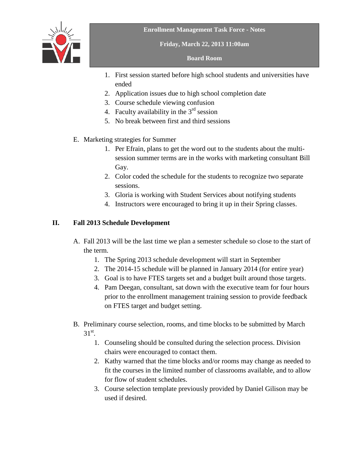

**Friday, March 22, 2013 11:00am**

**Board Room**

- 1. First session started before high school students and universities have ended
- 2. Application issues due to high school completion date
- 3. Course schedule viewing confusion
- 4. Faculty availability in the  $3<sup>rd</sup>$  session
- 5. No break between first and third sessions
- E. Marketing strategies for Summer
	- 1. Per Efrain, plans to get the word out to the students about the multisession summer terms are in the works with marketing consultant Bill Gay.
	- 2. Color coded the schedule for the students to recognize two separate sessions.
	- 3. Gloria is working with Student Services about notifying students
	- 4. Instructors were encouraged to bring it up in their Spring classes.

## **II. Fall 2013 Schedule Development**

- A. Fall 2013 will be the last time we plan a semester schedule so close to the start of the term.
	- 1. The Spring 2013 schedule development will start in September
	- 2. The 2014-15 schedule will be planned in January 2014 (for entire year)
	- 3. Goal is to have FTES targets set and a budget built around those targets.
	- 4. Pam Deegan, consultant, sat down with the executive team for four hours prior to the enrollment management training session to provide feedback on FTES target and budget setting.
- B. Preliminary course selection, rooms, and time blocks to be submitted by March  $31^\text{st}$ .
	- 1. Counseling should be consulted during the selection process. Division chairs were encouraged to contact them.
	- 2. Kathy warned that the time blocks and/or rooms may change as needed to fit the courses in the limited number of classrooms available, and to allow for flow of student schedules.
	- 3. Course selection template previously provided by Daniel Gilison may be used if desired.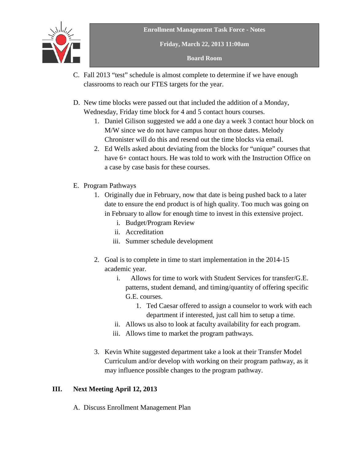

**Friday, March 22, 2013 11:00am**

**Board Room**

- C. Fall 2013 "test" schedule is almost complete to determine if we have enough classrooms to reach our FTES targets for the year.
- D. New time blocks were passed out that included the addition of a Monday, Wednesday, Friday time block for 4 and 5 contact hours courses.
	- 1. Daniel Gilison suggested we add a one day a week 3 contact hour block on M/W since we do not have campus hour on those dates. Melody Chronister will do this and resend out the time blocks via email.
	- 2. Ed Wells asked about deviating from the blocks for "unique" courses that have 6+ contact hours. He was told to work with the Instruction Office on a case by case basis for these courses.
- E. Program Pathways
	- 1. Originally due in February, now that date is being pushed back to a later date to ensure the end product is of high quality. Too much was going on in February to allow for enough time to invest in this extensive project.
		- i. Budget/Program Review
		- ii. Accreditation
		- iii. Summer schedule development
	- 2. Goal is to complete in time to start implementation in the 2014-15 academic year.
		- i. Allows for time to work with Student Services for transfer/G.E. patterns, student demand, and timing/quantity of offering specific G.E. courses.
			- 1. Ted Caesar offered to assign a counselor to work with each department if interested, just call him to setup a time.
		- ii. Allows us also to look at faculty availability for each program.
		- iii. Allows time to market the program pathways.
	- 3. Kevin White suggested department take a look at their Transfer Model Curriculum and/or develop with working on their program pathway, as it may influence possible changes to the program pathway.

## **III. Next Meeting April 12, 2013**

A. Discuss Enrollment Management Plan